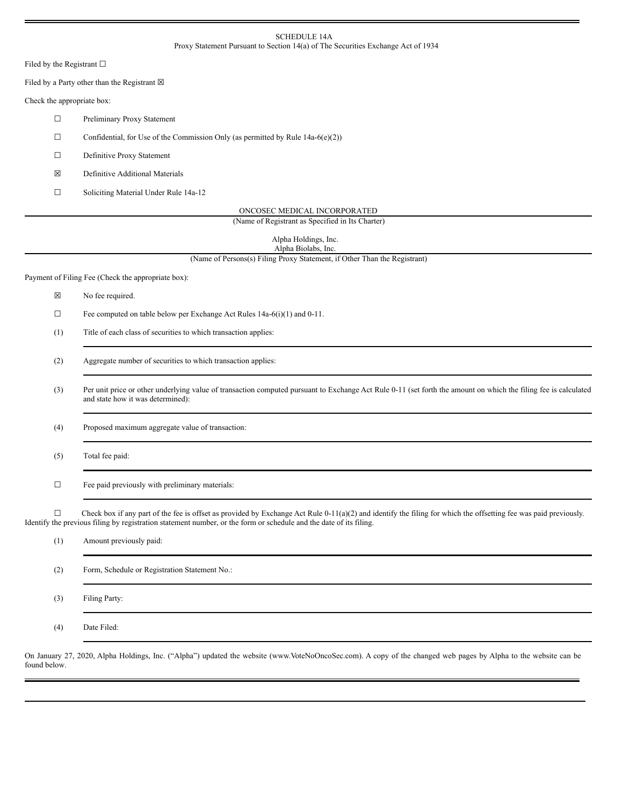#### SCHEDULE 14A Proxy Statement Pursuant to Section 14(a) of The Securities Exchange Act of 1934

Filed by the Registrant  $\square$ 

Filed by a Party other than the Registrant  $\boxtimes$ 

Check the appropriate box:

☐ Preliminary Proxy Statement

 $\Box$  Confidential, for Use of the Commission Only (as permitted by Rule 14a-6(e)(2))

☐ Definitive Proxy Statement

☒ Definitive Additional Materials

☐ Soliciting Material Under Rule 14a-12

ONCOSEC MEDICAL INCORPORATED

(Name of Registrant as Specified in Its Charter)

Alpha Holdings, Inc. Alpha Biolabs, Inc.

(Name of Persons(s) Filing Proxy Statement, if Other Than the Registrant)

Payment of Filing Fee (Check the appropriate box):

☒ No fee required.

☐ Fee computed on table below per Exchange Act Rules 14a-6(i)(1) and 0-11.

(1) Title of each class of securities to which transaction applies:

(2) Aggregate number of securities to which transaction applies:

(3) Per unit price or other underlying value of transaction computed pursuant to Exchange Act Rule 0-11 (set forth the amount on which the filing fee is calculated and state how it was determined):

(4) Proposed maximum aggregate value of transaction:

(5) Total fee paid:

 $\Box$  Fee paid previously with preliminary materials:

 $\Box$  Check box if any part of the fee is offset as provided by Exchange Act Rule 0-11(a)(2) and identify the filing for which the offsetting fee was paid previously. Identify the previous filing by registration statement number, or the form or schedule and the date of its filing.

| (1) | Amount previously paid:                       |
|-----|-----------------------------------------------|
| (2) | Form, Schedule or Registration Statement No.: |
| (3) | Filing Party:                                 |
| (4) | Date Filed:                                   |

On January 27, 2020, Alpha Holdings, Inc. ("Alpha") updated the website (www.VoteNoOncoSec.com). A copy of the changed web pages by Alpha to the website can be found below.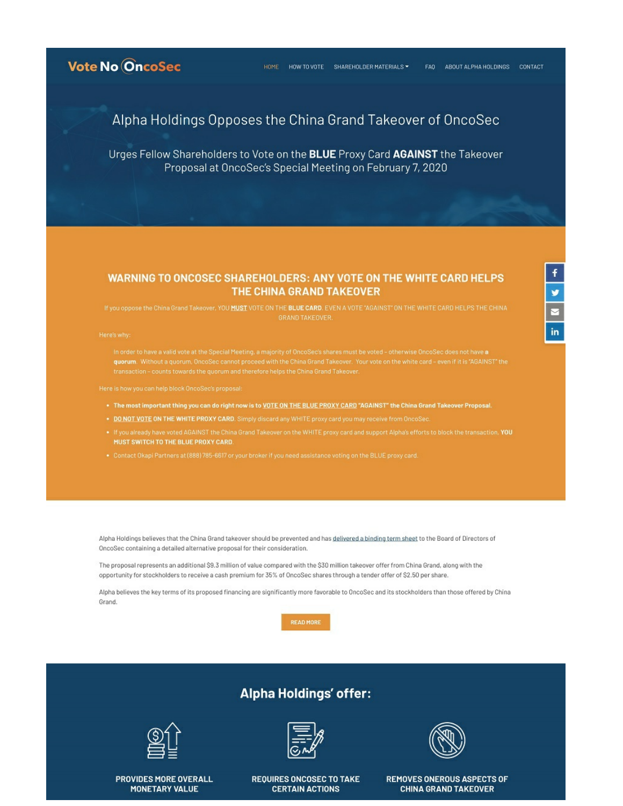

### Alpha Holdings Opposes the China Grand Takeover of OncoSec

Urges Fellow Shareholders to Vote on the BLUE Proxy Card AGAINST the Takeover Proposal at OncoSec's Special Meeting on February 7, 2020

### **WARNING TO ONCOSEC SHAREHOLDERS: ANY VOTE ON THE WHITE CARD HELPS** THE CHINA GRAND TAKEOVER

If you oppose the China Grand Takeover, YOU MUST VOTE ON THE BLUE CARD. EVEN A VOTE "AGAINST" ON THE WHITE CARD HELPS THE CHINA

- . The most important thing you can do right now is to VOTE ON THE BLUE PROXY CARD "AGAINST" the China Grand Takeover Proposal.
- . DO NOT VOTE ON THE WHITE PROXY CARD. Simply discard any WHITE proxy card you may receive from OncoSee
- MUST SWITCH TO THE BLUE PROXY CARD.
- 

Alpha Holdings believes that the China Grand takeover should be prevented and has delivered a binding term sheet to the Board of Directors of OncoSec containing a detailed alternative proposal for their consideration.

The proposal represents an additional \$9.3 million of value compared with the \$30 million takeover offer from China Grand, along with the opportunity for stockholders to receive a cash premium for 35% of OncoSec shares through a tender offer of \$2.50 per share.

Alpha believes the key terms of its proposed financing are significantly more favorable to OncoSec and its stockholders than those offered by China Grand.

**READ MORE** 

# **Alpha Holdings' offer:**



**PROVIDES MORE OVERALL MONETARY VALUE** 



**REQUIRES ONCOSEC TO TAKE CERTAIN ACTIONS** 



in

REMOVES ONEROUS ASPECTS OF **CHINA GRAND TAKEOVER**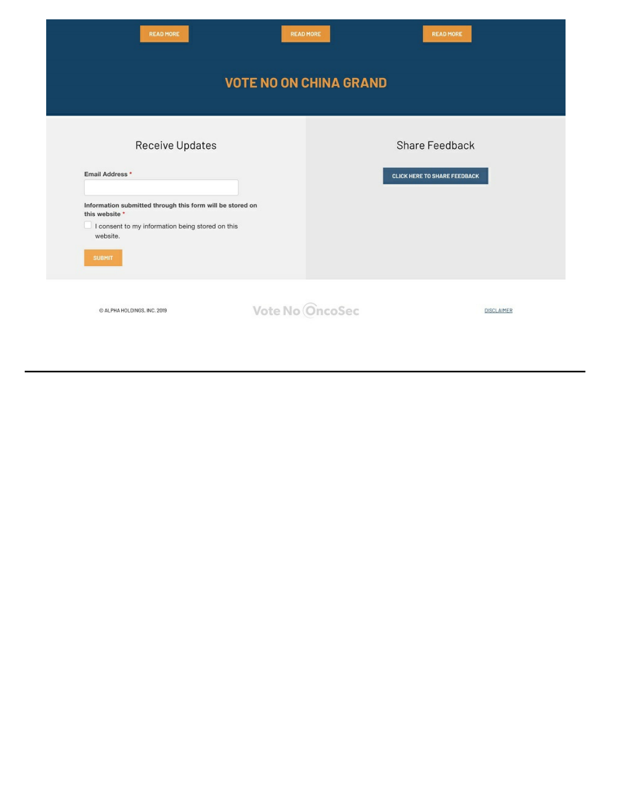| <b>READ MORE</b>                                                                                                                                             | <b>READ MORE</b> |  | <b>READ MORE</b>                                      |                   |  |  |  |
|--------------------------------------------------------------------------------------------------------------------------------------------------------------|------------------|--|-------------------------------------------------------|-------------------|--|--|--|
| <b>VOTE NO ON CHINA GRAND</b>                                                                                                                                |                  |  |                                                       |                   |  |  |  |
| Receive Updates<br>Email Address *                                                                                                                           |                  |  | Share Feedback<br><b>CLICK HERE TO SHARE FEEDBACK</b> |                   |  |  |  |
| Information submitted through this form will be stored on<br>this website *<br>I consent to my information being stored on this<br>website.<br><b>SUBMIT</b> |                  |  |                                                       |                   |  |  |  |
| C ALPHA HOLDINGS, INC. 2019                                                                                                                                  | Vote No OncoSec  |  |                                                       | <b>DISCLAIMER</b> |  |  |  |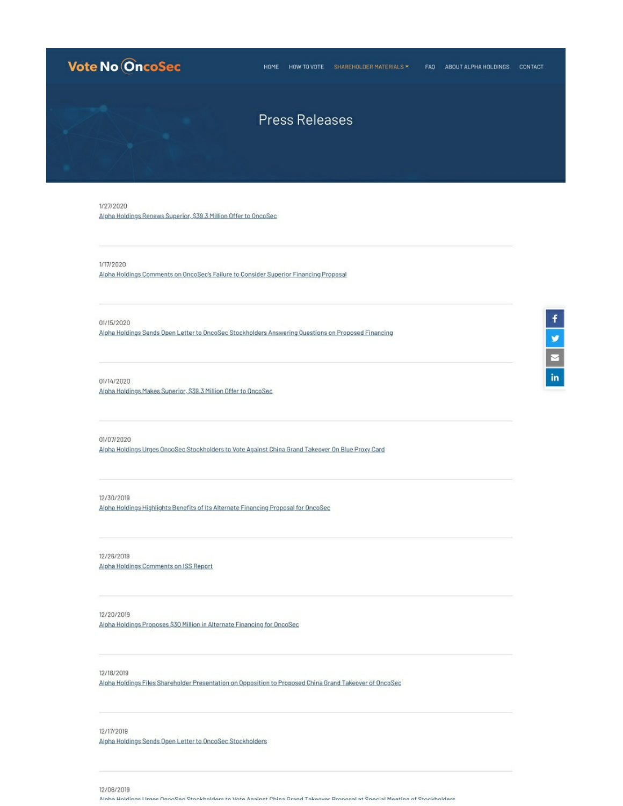## **Vote No OncoSec**

#### HOME HOW TO VOTE SHAREHOLDER MATERIALS \* FAQ ABOUT ALPHA HOLDINGS CONTACT

### **Press Releases**

1/27/2020 Alpha Holdings Renews Superior, \$39.3 Million Offer to OncoSec

1/17/2020

Alpha Holdings Comments on OncoSec's Failure to Consider Superior Financing Proposal

01/15/2020

Alpha Holdings Sends Open Letter to OncoSec Stockholders Answering Ouestions on Proposed Financing

01/14/2020

Alpha Holdings Makes Superior, \$39.3 Million Offer to OncoSec

01/07/2020

Alpha Holdings Urges OncoSec Stockholders to Vote Against China Grand Takeover On Blue Proxy Card

12/30/2019

Alpha Holdings Highlights Benefits of Its Alternate Financing Proposal for OncoSec

12/26/2019 Alpha Holdings Comments on ISS Report

12/20/2019

Alpha Holdings Proposes \$30 Million in Alternate Financing for OncoSec

12/18/2019

Alpha Holdings Files Shareholder Presentation on Opposition to Proposed China Grand Takeover of OncoSec

12/17/2019

Alpha Holdings Sends Open Letter to OncoSec Stockholders

12/06/2019

Ninha Holdings Lisson Deno Reno Stankholders to Vote Anainst Phina Grand Takeover Pronosal at Sneoial Meeting of Stockholders

| f |
|---|
|   |
|   |
|   |